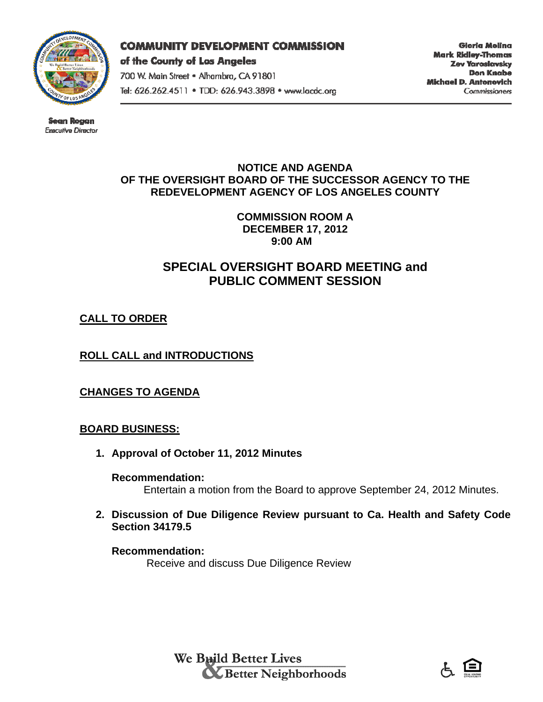

#### **COMMUNITY DEVELOPMENT COMMISSION**

of the County of Los Angeles 700 W. Main Street . Alhambra, CA 91801 Tel: 626.262.4511 . TDD: 626.943.3898 . www.lacdc.org

Gloria Molina **Mark Ridley-Thomas** Zev Yaroslavsky Don Knabe Michael D. Antonovich **Commissioners** 

Sean Rogan Exacutive Director

### **NOTICE AND AGENDA OF THE OVERSIGHT BOARD OF THE SUCCESSOR AGENCY TO THE REDEVELOPMENT AGENCY OF LOS ANGELES COUNTY**

**COMMISSION ROOM A DECEMBER 17, 2012 9:00 AM** 

## **SPECIAL OVERSIGHT BOARD MEETING and PUBLIC COMMENT SESSION**

## **CALL TO ORDER**

## **ROLL CALL and INTRODUCTIONS**

## **CHANGES TO AGENDA**

## **BOARD BUSINESS:**

**1. Approval of October 11, 2012 Minutes** 

### **Recommendation:**

Entertain a motion from the Board to approve September 24, 2012 Minutes.

**2. Discussion of Due Diligence Review pursuant to Ca. Health and Safety Code Section 34179.5** 

#### **Recommendation:**  Receive and discuss Due Diligence Review

We Build Better Lives **Executed Media Designation** 

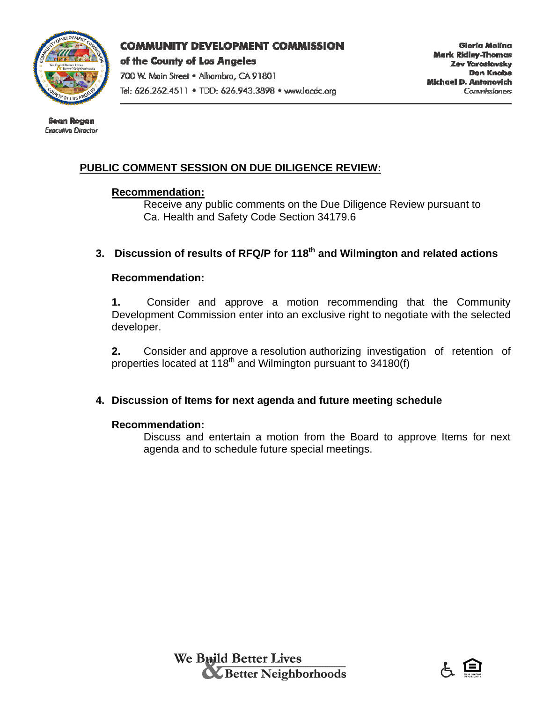

### **COMMUNITY DEVELOPMENT COMMISSION**

of the County of Los Angeles 700 W. Main Street . Alhambra, CA 91801

Tel: 626.262.4511 . TDD: 626.943.3898 . www.lacdc.org

Sean Rogan Exacutive Director

# **PUBLIC COMMENT SESSION ON DUE DILIGENCE REVIEW:**

### **Recommendation:**

 Receive any public comments on the Due Diligence Review pursuant to Ca. Health and Safety Code Section 34179.6

# **3. Discussion of results of RFQ/P for 118th and Wilmington and related actions**

### **Recommendation:**

**1.** Consider and approve a motion recommending that the Community Development Commission enter into an exclusive right to negotiate with the selected developer.

**2.** Consider and approve a resolution authorizing investigation of retention of properties located at 118<sup>th</sup> and Wilmington pursuant to 34180(f)

## **4. Discussion of Items for next agenda and future meeting schedule**

### **Recommendation:**

Discuss and entertain a motion from the Board to approve Items for next agenda and to schedule future special meetings.